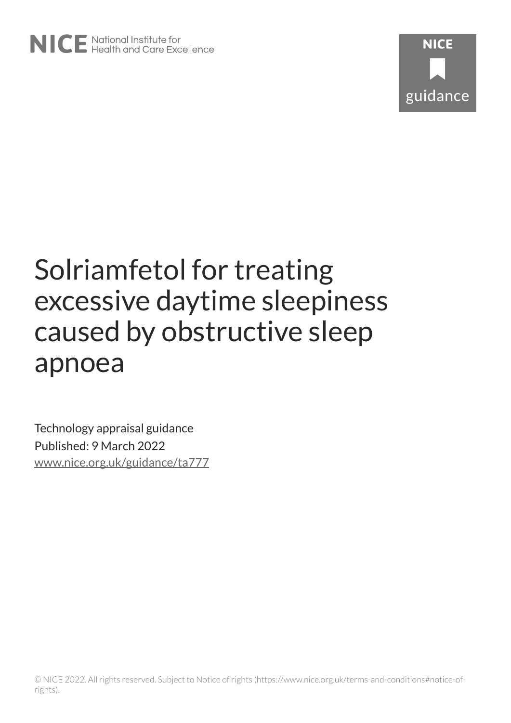

# Solriamfetol for treating excessive daytime sleepiness caused by obstructive sleep apnoea

Technology appraisal guidance Published: 9 March 2022 [www.nice.org.uk/guidance/ta777](https://www.nice.org.uk/guidance/ta777)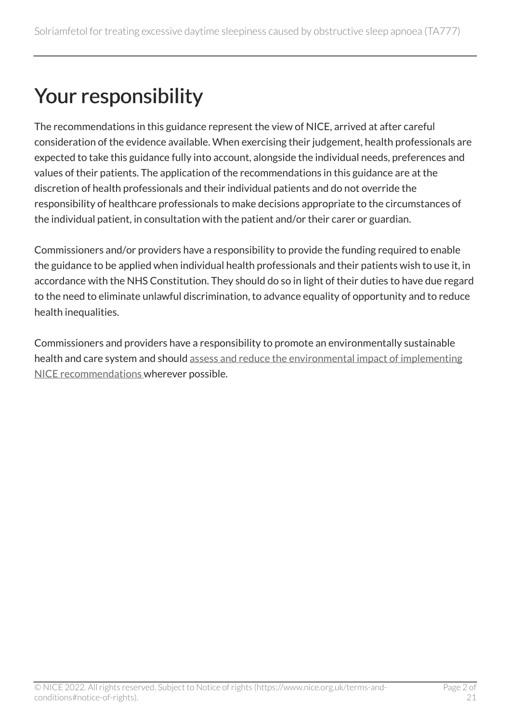## Your responsibility

The recommendations in this guidance represent the view of NICE, arrived at after careful consideration of the evidence available. When exercising their judgement, health professionals are expected to take this guidance fully into account, alongside the individual needs, preferences and values of their patients. The application of the recommendations in this guidance are at the discretion of health professionals and their individual patients and do not override the responsibility of healthcare professionals to make decisions appropriate to the circumstances of the individual patient, in consultation with the patient and/or their carer or guardian.

Commissioners and/or providers have a responsibility to provide the funding required to enable the guidance to be applied when individual health professionals and their patients wish to use it, in accordance with the NHS Constitution. They should do so in light of their duties to have due regard to the need to eliminate unlawful discrimination, to advance equality of opportunity and to reduce health inequalities.

Commissioners and providers have a responsibility to promote an environmentally sustainable health and care system and should [assess and reduce the environmental impact of implementing](https://www.nice.org.uk/about/who-we-are/sustainability)  [NICE recommendations w](https://www.nice.org.uk/about/who-we-are/sustainability)herever possible.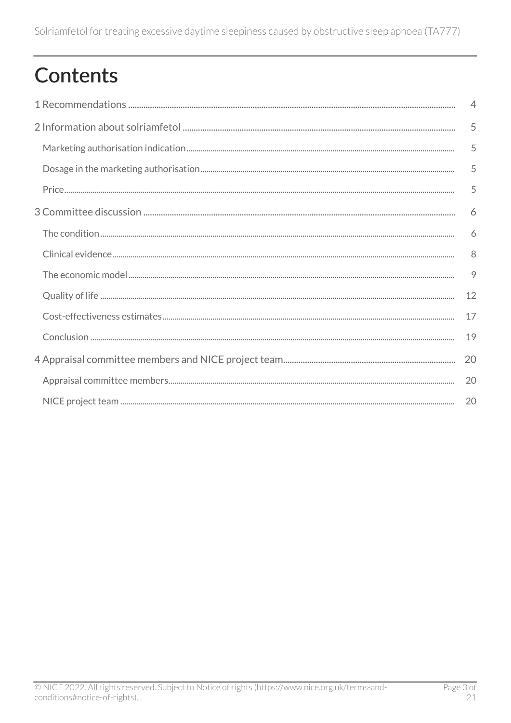## Contents

| $\overline{4}$ |
|----------------|
| 5              |
| 5              |
| 5              |
| 5              |
| 6              |
| 6              |
| 8              |
| 9              |
| 12             |
| 17             |
| 19             |
| 20             |
| 20             |
| 20             |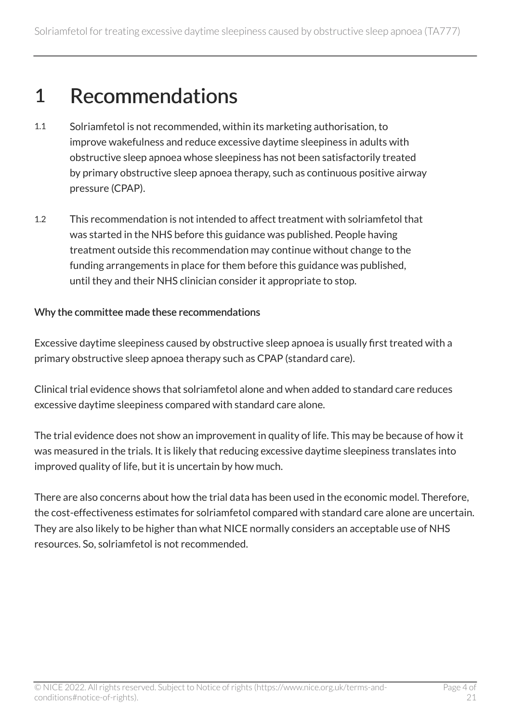### <span id="page-3-0"></span>1 Recommendations

- 1.1 Solriamfetol is not recommended, within its marketing authorisation, to improve wakefulness and reduce excessive daytime sleepiness in adults with obstructive sleep apnoea whose sleepiness has not been satisfactorily treated by primary obstructive sleep apnoea therapy, such as continuous positive airway pressure (CPAP).
- 1.2 This recommendation is not intended to affect treatment with solriamfetol that was started in the NHS before this guidance was published. People having treatment outside this recommendation may continue without change to the funding arrangements in place for them before this guidance was published, until they and their NHS clinician consider it appropriate to stop.

#### Why the committee made these recommendations

Excessive daytime sleepiness caused by obstructive sleep apnoea is usually first treated with a primary obstructive sleep apnoea therapy such as CPAP (standard care).

Clinical trial evidence shows that solriamfetol alone and when added to standard care reduces excessive daytime sleepiness compared with standard care alone.

The trial evidence does not show an improvement in quality of life. This may be because of how it was measured in the trials. It is likely that reducing excessive daytime sleepiness translates into improved quality of life, but it is uncertain by how much.

There are also concerns about how the trial data has been used in the economic model. Therefore, the cost-effectiveness estimates for solriamfetol compared with standard care alone are uncertain. They are also likely to be higher than what NICE normally considers an acceptable use of NHS resources. So, solriamfetol is not recommended.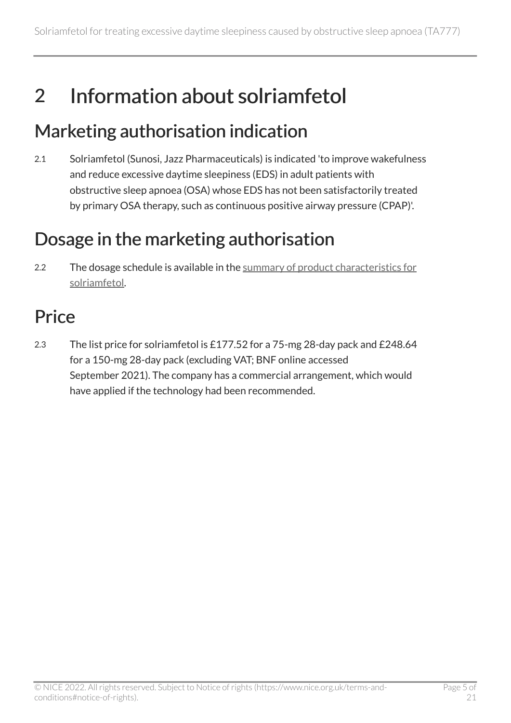## <span id="page-4-0"></span>2 Information about solriamfetol

### <span id="page-4-1"></span>Marketing authorisation indication

2.1 Solriamfetol (Sunosi, Jazz Pharmaceuticals) is indicated 'to improve wakefulness and reduce excessive daytime sleepiness (EDS) in adult patients with obstructive sleep apnoea (OSA) whose EDS has not been satisfactorily treated by primary OSA therapy, such as continuous positive airway pressure (CPAP)'.

### <span id="page-4-2"></span>Dosage in the marketing authorisation

2.2 The dosage schedule is available in the summary of product characteristics for [solriamfetol.](https://www.medicines.org.uk/emc/product/11017/smpc)

### <span id="page-4-3"></span>**Price**

2.3 The list price for solriamfetol is £177.52 for a 75-mg 28-day pack and £248.64 for a 150-mg 28-day pack (excluding VAT; BNF online accessed September 2021). The company has a commercial arrangement, which would have applied if the technology had been recommended.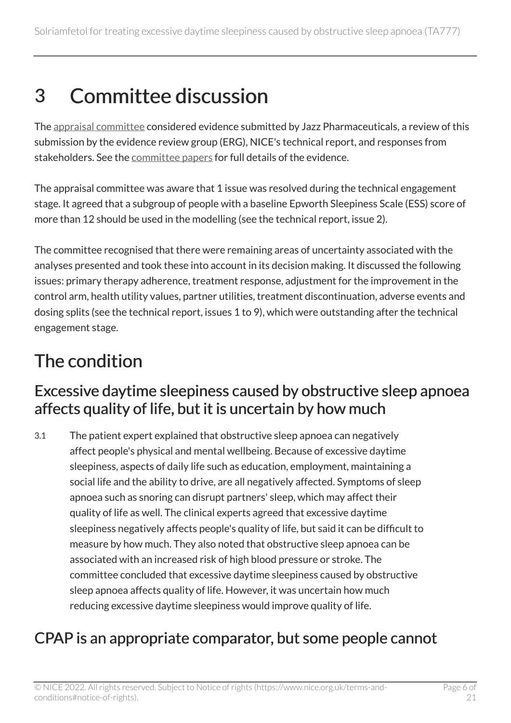## <span id="page-5-0"></span>3 Committee discussion

The [appraisal committee](#page-19-1) considered evidence submitted by Jazz Pharmaceuticals, a review of this submission by the evidence review group (ERG), NICE's technical report, and responses from stakeholders. See the [committee papers](https://www.nice.org.uk/guidance/TA777/evidence) for full details of the evidence.

The appraisal committee was aware that 1 issue was resolved during the technical engagement stage. It agreed that a subgroup of people with a baseline Epworth Sleepiness Scale (ESS) score of more than 12 should be used in the modelling (see the technical report, issue 2).

The committee recognised that there were remaining areas of uncertainty associated with the analyses presented and took these into account in its decision making. It discussed the following issues: primary therapy adherence, treatment response, adjustment for the improvement in the control arm, health utility values, partner utilities, treatment discontinuation, adverse events and dosing splits (see the technical report, issues 1 to 9), which were outstanding after the technical engagement stage.

### <span id="page-5-1"></span>The condition

#### <span id="page-5-3"></span>Excessive daytime sleepiness caused by obstructive sleep apnoea affects quality of life, but it is uncertain by how much

3.1 The patient expert explained that obstructive sleep apnoea can negatively affect people's physical and mental wellbeing. Because of excessive daytime sleepiness, aspects of daily life such as education, employment, maintaining a social life and the ability to drive, are all negatively affected. Symptoms of sleep apnoea such as snoring can disrupt partners' sleep, which may affect their quality of life as well. The clinical experts agreed that excessive daytime sleepiness negatively affects people's quality of life, but said it can be difficult to measure by how much. They also noted that obstructive sleep apnoea can be associated with an increased risk of high blood pressure or stroke. The committee concluded that excessive daytime sleepiness caused by obstructive sleep apnoea affects quality of life. However, it was uncertain how much reducing excessive daytime sleepiness would improve quality of life.

#### <span id="page-5-2"></span>CPAP is an appropriate comparator, but some people cannot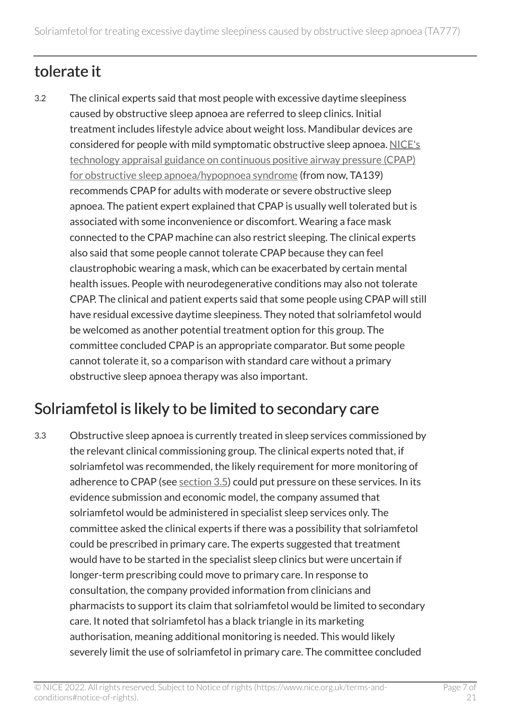### tolerate it

3.2 The clinical experts said that most people with excessive daytime sleepiness caused by obstructive sleep apnoea are referred to sleep clinics. Initial treatment includes lifestyle advice about weight loss. Mandibular devices are considered for people with mild symptomatic obstructive sleep apnoea. [NICE's](https://www.nice.org.uk/guidance/ta139)  [technology appraisal guidance on continuous positive airway pressure \(CPAP\)](https://www.nice.org.uk/guidance/ta139) [for obstructive sleep apnoea/hypopnoea syndrome](https://www.nice.org.uk/guidance/ta139) (from now, TA139) recommends CPAP for adults with moderate or severe obstructive sleep apnoea. The patient expert explained that CPAP is usually well tolerated but is associated with some inconvenience or discomfort. Wearing a face mask connected to the CPAP machine can also restrict sleeping. The clinical experts also said that some people cannot tolerate CPAP because they can feel claustrophobic wearing a mask, which can be exacerbated by certain mental health issues. People with neurodegenerative conditions may also not tolerate CPAP. The clinical and patient experts said that some people using CPAP will still have residual excessive daytime sleepiness. They noted that solriamfetol would be welcomed as another potential treatment option for this group. The committee concluded CPAP is an appropriate comparator. But some people cannot tolerate it, so a comparison with standard care without a primary obstructive sleep apnoea therapy was also important.

### Solriamfetol is likely to be limited to secondary care

3.3 Obstructive sleep apnoea is currently treated in sleep services commissioned by the relevant clinical commissioning group. The clinical experts noted that, if solriamfetol was recommended, the likely requirement for more monitoring of adherence to CPAP (see [section](#page-7-1) 3.5) could put pressure on these services. In its evidence submission and economic model, the company assumed that solriamfetol would be administered in specialist sleep services only. The committee asked the clinical experts if there was a possibility that solriamfetol could be prescribed in primary care. The experts suggested that treatment would have to be started in the specialist sleep clinics but were uncertain if longer-term prescribing could move to primary care. In response to consultation, the company provided information from clinicians and pharmacists to support its claim that solriamfetol would be limited to secondary care. It noted that solriamfetol has a black triangle in its marketing authorisation, meaning additional monitoring is needed. This would likely severely limit the use of solriamfetol in primary care. The committee concluded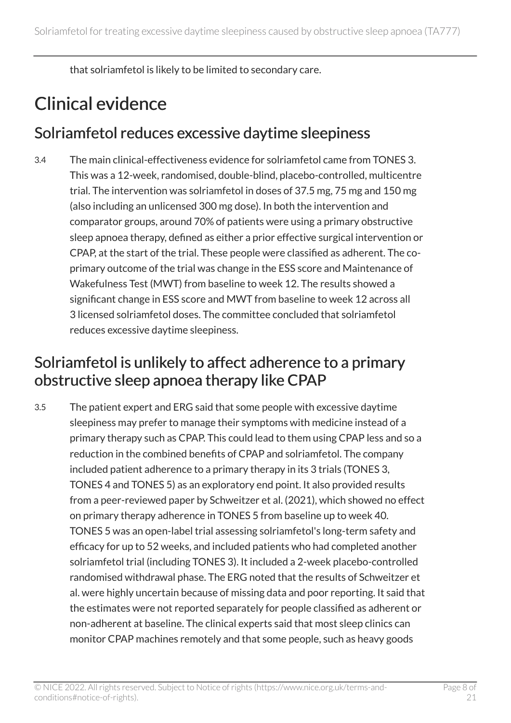that solriamfetol is likely to be limited to secondary care.

### <span id="page-7-0"></span>Clinical evidence

#### <span id="page-7-2"></span>Solriamfetol reduces excessive daytime sleepiness

3.4 The main clinical-effectiveness evidence for solriamfetol came from TONES 3. This was a 12-week, randomised, double-blind, placebo-controlled, multicentre trial. The intervention was solriamfetol in doses of 37.5 mg, 75 mg and 150 mg (also including an unlicensed 300 mg dose). In both the intervention and comparator groups, around 70% of patients were using a primary obstructive sleep apnoea therapy, defined as either a prior effective surgical intervention or CPAP, at the start of the trial. These people were classified as adherent. The coprimary outcome of the trial was change in the ESS score and Maintenance of Wakefulness Test (MWT) from baseline to week 12. The results showed a significant change in ESS score and MWT from baseline to week 12 across all 3 licensed solriamfetol doses. The committee concluded that solriamfetol reduces excessive daytime sleepiness.

#### <span id="page-7-1"></span>Solriamfetol is unlikely to affect adherence to a primary obstructive sleep apnoea therapy like CPAP

3.5 The patient expert and ERG said that some people with excessive daytime sleepiness may prefer to manage their symptoms with medicine instead of a primary therapy such as CPAP. This could lead to them using CPAP less and so a reduction in the combined benefits of CPAP and solriamfetol. The company included patient adherence to a primary therapy in its 3 trials (TONES 3, TONES 4 and TONES 5) as an exploratory end point. It also provided results from a peer-reviewed paper by Schweitzer et al. (2021), which showed no effect on primary therapy adherence in TONES 5 from baseline up to week 40. TONES 5 was an open-label trial assessing solriamfetol's long-term safety and efficacy for up to 52 weeks, and included patients who had completed another solriamfetol trial (including TONES 3). It included a 2-week placebo-controlled randomised withdrawal phase. The ERG noted that the results of Schweitzer et al. were highly uncertain because of missing data and poor reporting. It said that the estimates were not reported separately for people classified as adherent or non-adherent at baseline. The clinical experts said that most sleep clinics can monitor CPAP machines remotely and that some people, such as heavy goods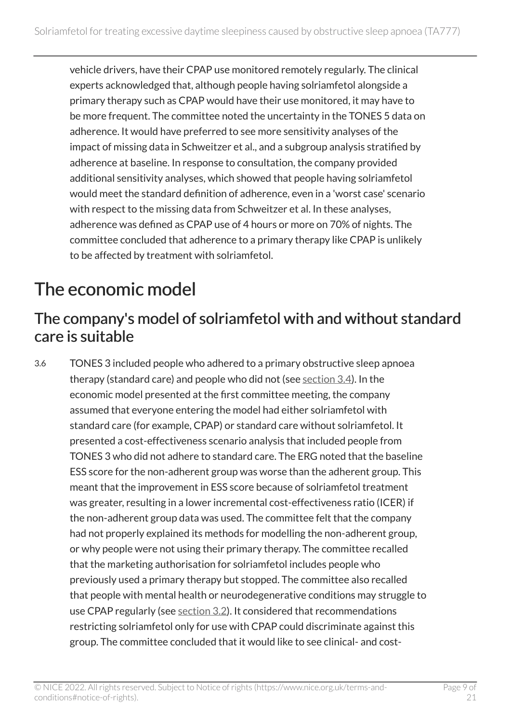vehicle drivers, have their CPAP use monitored remotely regularly. The clinical experts acknowledged that, although people having solriamfetol alongside a primary therapy such as CPAP would have their use monitored, it may have to be more frequent. The committee noted the uncertainty in the TONES 5 data on adherence. It would have preferred to see more sensitivity analyses of the impact of missing data in Schweitzer et al., and a subgroup analysis stratified by adherence at baseline. In response to consultation, the company provided additional sensitivity analyses, which showed that people having solriamfetol would meet the standard definition of adherence, even in a 'worst case' scenario with respect to the missing data from Schweitzer et al. In these analyses, adherence was defined as CPAP use of 4 hours or more on 70% of nights. The committee concluded that adherence to a primary therapy like CPAP is unlikely to be affected by treatment with solriamfetol.

### <span id="page-8-0"></span>The economic model

#### The company's model of solriamfetol with and without standard care is suitable

3.6 TONES 3 included people who adhered to a primary obstructive sleep apnoea therapy (standard care) and people who did not (see [section](#page-7-2) 3.4). In the economic model presented at the first committee meeting, the company assumed that everyone entering the model had either solriamfetol with standard care (for example, CPAP) or standard care without solriamfetol. It presented a cost-effectiveness scenario analysis that included people from TONES 3 who did not adhere to standard care. The ERG noted that the baseline ESS score for the non-adherent group was worse than the adherent group. This meant that the improvement in ESS score because of solriamfetol treatment was greater, resulting in a lower incremental cost-effectiveness ratio (ICER) if the non-adherent group data was used. The committee felt that the company had not properly explained its methods for modelling the non-adherent group, or why people were not using their primary therapy. The committee recalled that the marketing authorisation for solriamfetol includes people who previously used a primary therapy but stopped. The committee also recalled that people with mental health or neurodegenerative conditions may struggle to use CPAP regularly (see [section](#page-5-2) 3.2). It considered that recommendations restricting solriamfetol only for use with CPAP could discriminate against this group. The committee concluded that it would like to see clinical- and cost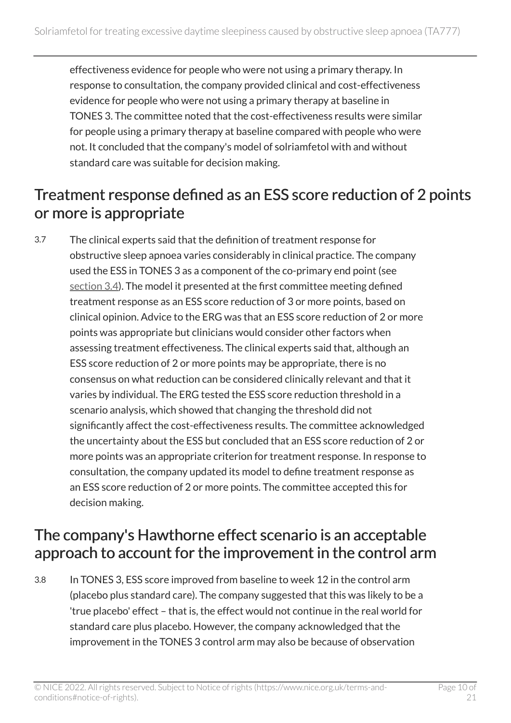effectiveness evidence for people who were not using a primary therapy. In response to consultation, the company provided clinical and cost-effectiveness evidence for people who were not using a primary therapy at baseline in TONES 3. The committee noted that the cost-effectiveness results were similar for people using a primary therapy at baseline compared with people who were not. It concluded that the company's model of solriamfetol with and without standard care was suitable for decision making.

#### <span id="page-9-1"></span>Treatment response defined as an ESS score reduction of 2 points or more is appropriate

3.7 The clinical experts said that the definition of treatment response for obstructive sleep apnoea varies considerably in clinical practice. The company used the ESS in TONES 3 as a component of the co-primary end point (see [section](#page-7-2) 3.4). The model it presented at the first committee meeting defined treatment response as an ESS score reduction of 3 or more points, based on clinical opinion. Advice to the ERG was that an ESS score reduction of 2 or more points was appropriate but clinicians would consider other factors when assessing treatment effectiveness. The clinical experts said that, although an ESS score reduction of 2 or more points may be appropriate, there is no consensus on what reduction can be considered clinically relevant and that it varies by individual. The ERG tested the ESS score reduction threshold in a scenario analysis, which showed that changing the threshold did not significantly affect the cost-effectiveness results. The committee acknowledged the uncertainty about the ESS but concluded that an ESS score reduction of 2 or more points was an appropriate criterion for treatment response. In response to consultation, the company updated its model to define treatment response as an ESS score reduction of 2 or more points. The committee accepted this for decision making.

#### <span id="page-9-0"></span>The company's Hawthorne effect scenario is an acceptable approach to account for the improvement in the control arm

3.8 In TONES 3, ESS score improved from baseline to week 12 in the control arm (placebo plus standard care). The company suggested that this was likely to be a 'true placebo' effect – that is, the effect would not continue in the real world for standard care plus placebo. However, the company acknowledged that the improvement in the TONES 3 control arm may also be because of observation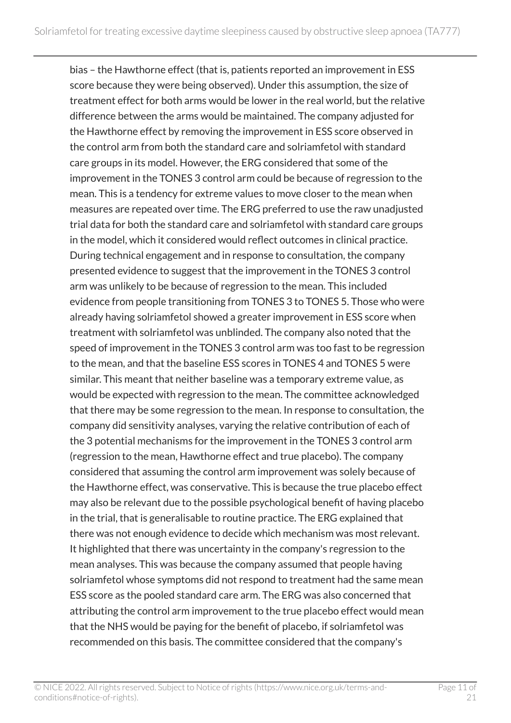bias – the Hawthorne effect (that is, patients reported an improvement in ESS score because they were being observed). Under this assumption, the size of treatment effect for both arms would be lower in the real world, but the relative difference between the arms would be maintained. The company adjusted for the Hawthorne effect by removing the improvement in ESS score observed in the control arm from both the standard care and solriamfetol with standard care groups in its model. However, the ERG considered that some of the improvement in the TONES 3 control arm could be because of regression to the mean. This is a tendency for extreme values to move closer to the mean when measures are repeated over time. The ERG preferred to use the raw unadjusted trial data for both the standard care and solriamfetol with standard care groups in the model, which it considered would reflect outcomes in clinical practice. During technical engagement and in response to consultation, the company presented evidence to suggest that the improvement in the TONES 3 control arm was unlikely to be because of regression to the mean. This included evidence from people transitioning from TONES 3 to TONES 5. Those who were already having solriamfetol showed a greater improvement in ESS score when treatment with solriamfetol was unblinded. The company also noted that the speed of improvement in the TONES 3 control arm was too fast to be regression to the mean, and that the baseline ESS scores in TONES 4 and TONES 5 were similar. This meant that neither baseline was a temporary extreme value, as would be expected with regression to the mean. The committee acknowledged that there may be some regression to the mean. In response to consultation, the company did sensitivity analyses, varying the relative contribution of each of the 3 potential mechanisms for the improvement in the TONES 3 control arm (regression to the mean, Hawthorne effect and true placebo). The company considered that assuming the control arm improvement was solely because of the Hawthorne effect, was conservative. This is because the true placebo effect may also be relevant due to the possible psychological benefit of having placebo in the trial, that is generalisable to routine practice. The ERG explained that there was not enough evidence to decide which mechanism was most relevant. It highlighted that there was uncertainty in the company's regression to the mean analyses. This was because the company assumed that people having solriamfetol whose symptoms did not respond to treatment had the same mean ESS score as the pooled standard care arm. The ERG was also concerned that attributing the control arm improvement to the true placebo effect would mean that the NHS would be paying for the benefit of placebo, if solriamfetol was recommended on this basis. The committee considered that the company's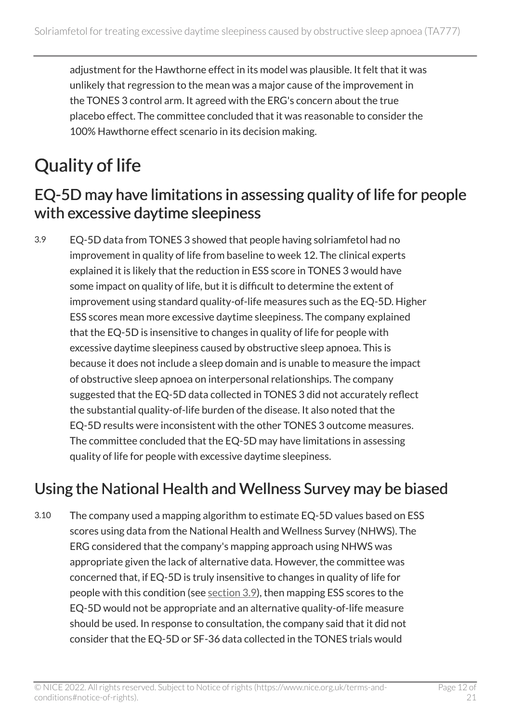adjustment for the Hawthorne effect in its model was plausible. It felt that it was unlikely that regression to the mean was a major cause of the improvement in the TONES 3 control arm. It agreed with the ERG's concern about the true placebo effect. The committee concluded that it was reasonable to consider the 100% Hawthorne effect scenario in its decision making.

### <span id="page-11-0"></span>Quality of life

#### <span id="page-11-1"></span>EQ-5D may have limitations in assessing quality of life for people with excessive daytime sleepiness

3.9 EQ-5D data from TONES 3 showed that people having solriamfetol had no improvement in quality of life from baseline to week 12. The clinical experts explained it is likely that the reduction in ESS score in TONES 3 would have some impact on quality of life, but it is difficult to determine the extent of improvement using standard quality-of-life measures such as the EQ-5D. Higher ESS scores mean more excessive daytime sleepiness. The company explained that the EQ-5D is insensitive to changes in quality of life for people with excessive daytime sleepiness caused by obstructive sleep apnoea. This is because it does not include a sleep domain and is unable to measure the impact of obstructive sleep apnoea on interpersonal relationships. The company suggested that the EQ-5D data collected in TONES 3 did not accurately reflect the substantial quality-of-life burden of the disease. It also noted that the EQ-5D results were inconsistent with the other TONES 3 outcome measures. The committee concluded that the EQ-5D may have limitations in assessing quality of life for people with excessive daytime sleepiness.

#### <span id="page-11-2"></span>Using the National Health and Wellness Survey may be biased

3.10 The company used a mapping algorithm to estimate EQ-5D values based on ESS scores using data from the National Health and Wellness Survey (NHWS). The ERG considered that the company's mapping approach using NHWS was appropriate given the lack of alternative data. However, the committee was concerned that, if EQ-5D is truly insensitive to changes in quality of life for people with this condition (see [section](#page-11-1) 3.9), then mapping ESS scores to the EQ-5D would not be appropriate and an alternative quality-of-life measure should be used. In response to consultation, the company said that it did not consider that the EQ-5D or SF-36 data collected in the TONES trials would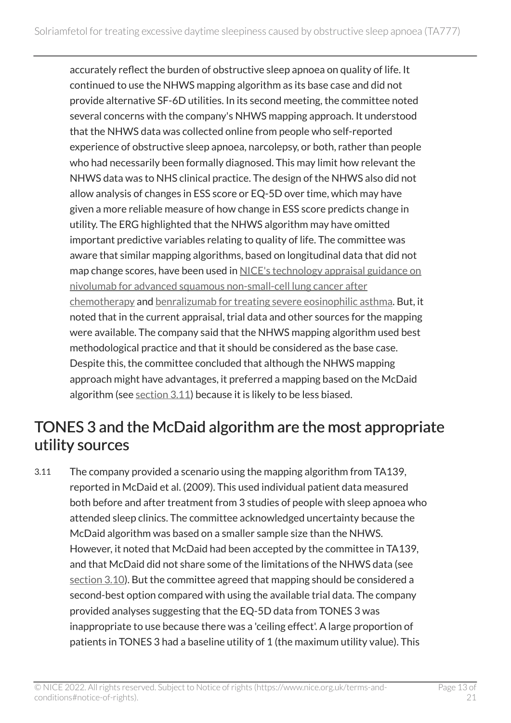accurately reflect the burden of obstructive sleep apnoea on quality of life. It continued to use the NHWS mapping algorithm as its base case and did not provide alternative SF-6D utilities. In its second meeting, the committee noted several concerns with the company's NHWS mapping approach. It understood that the NHWS data was collected online from people who self-reported experience of obstructive sleep apnoea, narcolepsy, or both, rather than people who had necessarily been formally diagnosed. This may limit how relevant the NHWS data was to NHS clinical practice. The design of the NHWS also did not allow analysis of changes in ESS score or EQ-5D over time, which may have given a more reliable measure of how change in ESS score predicts change in utility. The ERG highlighted that the NHWS algorithm may have omitted important predictive variables relating to quality of life. The committee was aware that similar mapping algorithms, based on longitudinal data that did not map change scores, have been used in [NICE's technology appraisal guidance on](https://www.nice.org.uk/guidance/ta655)  [nivolumab for advanced squamous non-small-cell lung cancer after](https://www.nice.org.uk/guidance/ta655) [chemotherapy](https://www.nice.org.uk/guidance/ta655) and [benralizumab for treating severe eosinophilic asthma.](https://www.nice.org.uk/guidance/ta565) But, it noted that in the current appraisal, trial data and other sources for the mapping were available. The company said that the NHWS mapping algorithm used best methodological practice and that it should be considered as the base case. Despite this, the committee concluded that although the NHWS mapping approach might have advantages, it preferred a mapping based on the McDaid algorithm (see  $section 3.11$ ) because it is likely to be less biased.

#### <span id="page-12-0"></span>TONES 3 and the McDaid algorithm are the most appropriate utility sources

3.11 The company provided a scenario using the mapping algorithm from TA139, reported in McDaid et al. (2009). This used individual patient data measured both before and after treatment from 3 studies of people with sleep apnoea who attended sleep clinics. The committee acknowledged uncertainty because the McDaid algorithm was based on a smaller sample size than the NHWS. However, it noted that McDaid had been accepted by the committee in TA139, and that McDaid did not share some of the limitations of the NHWS data (see [section](#page-11-2) 3.10). But the committee agreed that mapping should be considered a second-best option compared with using the available trial data. The company provided analyses suggesting that the EQ-5D data from TONES 3 was inappropriate to use because there was a 'ceiling effect'. A large proportion of patients in TONES 3 had a baseline utility of 1 (the maximum utility value). This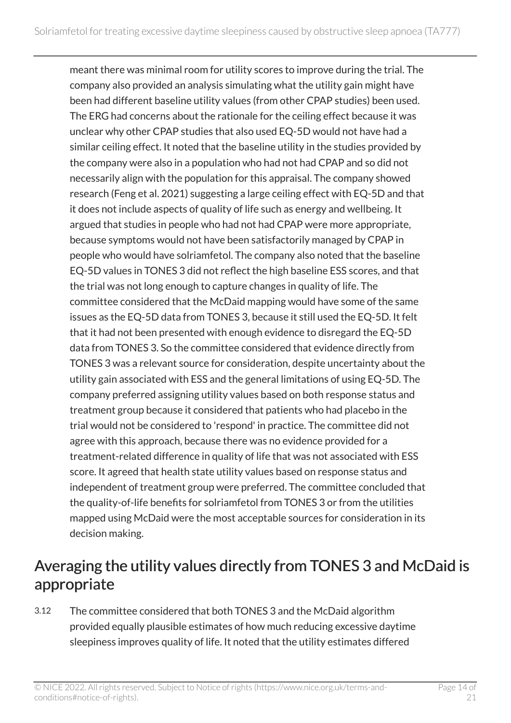meant there was minimal room for utility scores to improve during the trial. The company also provided an analysis simulating what the utility gain might have been had different baseline utility values (from other CPAP studies) been used. The ERG had concerns about the rationale for the ceiling effect because it was unclear why other CPAP studies that also used EQ-5D would not have had a similar ceiling effect. It noted that the baseline utility in the studies provided by the company were also in a population who had not had CPAP and so did not necessarily align with the population for this appraisal. The company showed research (Feng et al. 2021) suggesting a large ceiling effect with EQ-5D and that it does not include aspects of quality of life such as energy and wellbeing. It argued that studies in people who had not had CPAP were more appropriate, because symptoms would not have been satisfactorily managed by CPAP in people who would have solriamfetol. The company also noted that the baseline EQ-5D values in TONES 3 did not reflect the high baseline ESS scores, and that the trial was not long enough to capture changes in quality of life. The committee considered that the McDaid mapping would have some of the same issues as the EQ-5D data from TONES 3, because it still used the EQ-5D. It felt that it had not been presented with enough evidence to disregard the EQ-5D data from TONES 3. So the committee considered that evidence directly from TONES 3 was a relevant source for consideration, despite uncertainty about the utility gain associated with ESS and the general limitations of using EQ-5D. The company preferred assigning utility values based on both response status and treatment group because it considered that patients who had placebo in the trial would not be considered to 'respond' in practice. The committee did not agree with this approach, because there was no evidence provided for a treatment-related difference in quality of life that was not associated with ESS score. It agreed that health state utility values based on response status and independent of treatment group were preferred. The committee concluded that the quality-of-life benefits for solriamfetol from TONES 3 or from the utilities mapped using McDaid were the most acceptable sources for consideration in its decision making.

#### <span id="page-13-0"></span>Averaging the utility values directly from TONES 3 and McDaid is appropriate

3.12 The committee considered that both TONES 3 and the McDaid algorithm provided equally plausible estimates of how much reducing excessive daytime sleepiness improves quality of life. It noted that the utility estimates differed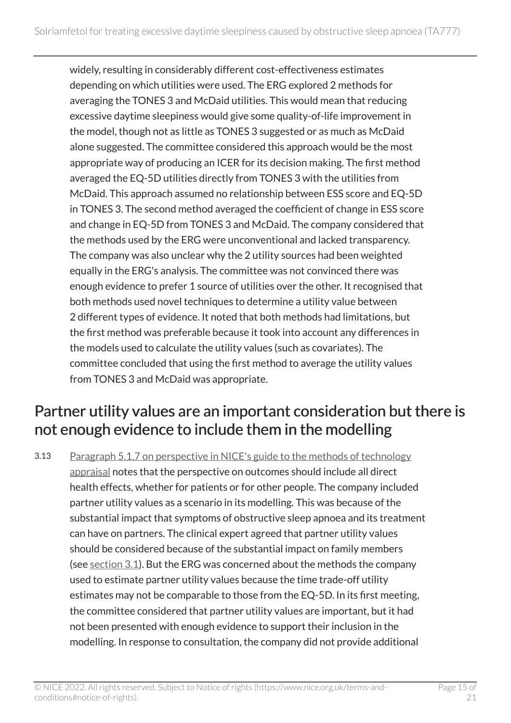widely, resulting in considerably different cost-effectiveness estimates depending on which utilities were used. The ERG explored 2 methods for averaging the TONES 3 and McDaid utilities. This would mean that reducing excessive daytime sleepiness would give some quality-of-life improvement in the model, though not as little as TONES 3 suggested or as much as McDaid alone suggested. The committee considered this approach would be the most appropriate way of producing an ICER for its decision making. The first method averaged the EQ-5D utilities directly from TONES 3 with the utilities from McDaid. This approach assumed no relationship between ESS score and EQ-5D in TONES 3. The second method averaged the coefficient of change in ESS score and change in EQ-5D from TONES 3 and McDaid. The company considered that the methods used by the ERG were unconventional and lacked transparency. The company was also unclear why the 2 utility sources had been weighted equally in the ERG's analysis. The committee was not convinced there was enough evidence to prefer 1 source of utilities over the other. It recognised that both methods used novel techniques to determine a utility value between 2 different types of evidence. It noted that both methods had limitations, but the first method was preferable because it took into account any differences in the models used to calculate the utility values (such as covariates). The committee concluded that using the first method to average the utility values from TONES 3 and McDaid was appropriate.

#### Partner utility values are an important consideration but there is not enough evidence to include them in the modelling

3.13 [Paragraph 5.1.7 on perspective in NICE's guide to the methods of technology](https://www.nice.org.uk/process/pmg9/chapter/the-reference-case#perspective) [appraisal](https://www.nice.org.uk/process/pmg9/chapter/the-reference-case#perspective) notes that the perspective on outcomes should include all direct health effects, whether for patients or for other people. The company included partner utility values as a scenario in its modelling. This was because of the substantial impact that symptoms of obstructive sleep apnoea and its treatment can have on partners. The clinical expert agreed that partner utility values should be considered because of the substantial impact on family members (see [section](#page-5-3) 3.1). But the ERG was concerned about the methods the company used to estimate partner utility values because the time trade-off utility estimates may not be comparable to those from the EQ-5D. In its first meeting, the committee considered that partner utility values are important, but it had not been presented with enough evidence to support their inclusion in the modelling. In response to consultation, the company did not provide additional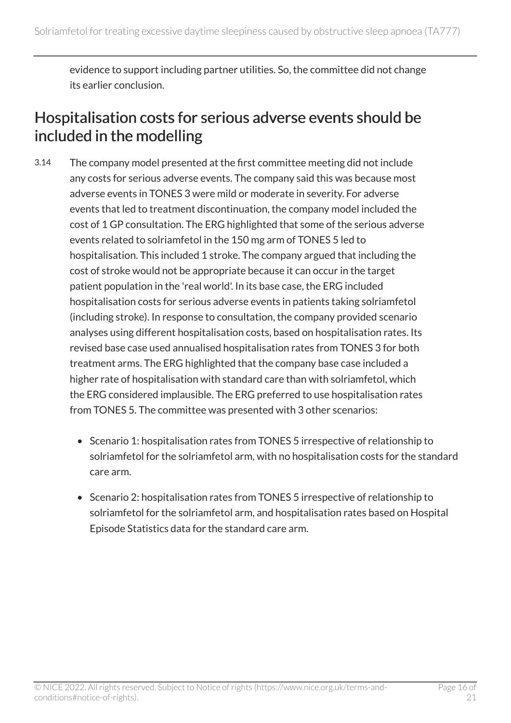evidence to support including partner utilities. So, the committee did not change its earlier conclusion.

#### <span id="page-15-0"></span>Hospitalisation costs for serious adverse events should be included in the modelling

- 3.14 The company model presented at the first committee meeting did not include any costs for serious adverse events. The company said this was because most adverse events in TONES 3 were mild or moderate in severity. For adverse events that led to treatment discontinuation, the company model included the cost of 1 GP consultation. The ERG highlighted that some of the serious adverse events related to solriamfetol in the 150 mg arm of TONES 5 led to hospitalisation. This included 1 stroke. The company argued that including the cost of stroke would not be appropriate because it can occur in the target patient population in the 'real world'. In its base case, the ERG included hospitalisation costs for serious adverse events in patients taking solriamfetol (including stroke). In response to consultation, the company provided scenario analyses using different hospitalisation costs, based on hospitalisation rates. Its revised base case used annualised hospitalisation rates from TONES 3 for both treatment arms. The ERG highlighted that the company base case included a higher rate of hospitalisation with standard care than with solriamfetol, which the ERG considered implausible. The ERG preferred to use hospitalisation rates from TONES 5. The committee was presented with 3 other scenarios:
	- Scenario 1: hospitalisation rates from TONES 5 irrespective of relationship to solriamfetol for the solriamfetol arm, with no hospitalisation costs for the standard care arm.
	- Scenario 2: hospitalisation rates from TONES 5 irrespective of relationship to solriamfetol for the solriamfetol arm, and hospitalisation rates based on Hospital Episode Statistics data for the standard care arm.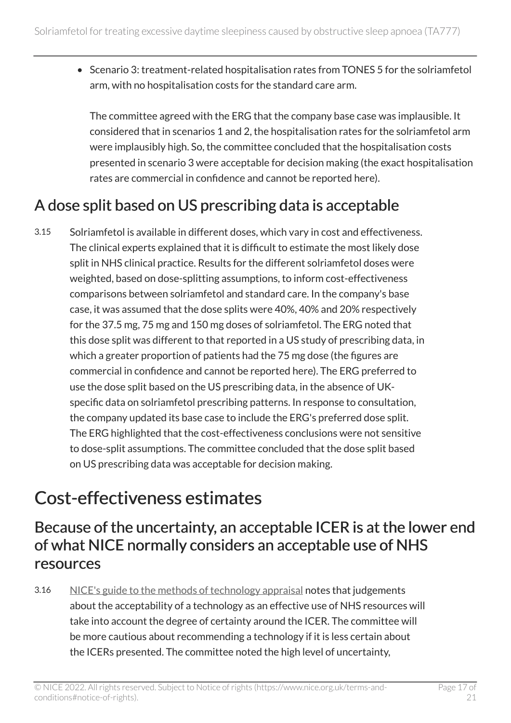• Scenario 3: treatment-related hospitalisation rates from TONES 5 for the solriamfetol arm, with no hospitalisation costs for the standard care arm.

The committee agreed with the ERG that the company base case was implausible. It considered that in scenarios 1 and 2, the hospitalisation rates for the solriamfetol arm were implausibly high. So, the committee concluded that the hospitalisation costs presented in scenario 3 were acceptable for decision making (the exact hospitalisation rates are commercial in confidence and cannot be reported here).

#### <span id="page-16-1"></span>A dose split based on US prescribing data is acceptable

3.15 Solriamfetol is available in different doses, which vary in cost and effectiveness. The clinical experts explained that it is difficult to estimate the most likely dose split in NHS clinical practice. Results for the different solriamfetol doses were weighted, based on dose-splitting assumptions, to inform cost-effectiveness comparisons between solriamfetol and standard care. In the company's base case, it was assumed that the dose splits were 40%, 40% and 20% respectively for the 37.5 mg, 75 mg and 150 mg doses of solriamfetol. The ERG noted that this dose split was different to that reported in a US study of prescribing data, in which a greater proportion of patients had the 75 mg dose (the figures are commercial in confidence and cannot be reported here). The ERG preferred to use the dose split based on the US prescribing data, in the absence of UKspecific data on solriamfetol prescribing patterns. In response to consultation, the company updated its base case to include the ERG's preferred dose split. The ERG highlighted that the cost-effectiveness conclusions were not sensitive to dose-split assumptions. The committee concluded that the dose split based on US prescribing data was acceptable for decision making.

### <span id="page-16-0"></span>Cost-effectiveness estimates

#### <span id="page-16-2"></span>Because of the uncertainty, an acceptable ICER is at the lower end of what NICE normally considers an acceptable use of NHS resources

3.16 [NICE's guide to the methods of technology appraisal](https://www.nice.org.uk/process/pmg9/chapter/foreword) notes that judgements about the acceptability of a technology as an effective use of NHS resources will take into account the degree of certainty around the ICER. The committee will be more cautious about recommending a technology if it is less certain about the ICERs presented. The committee noted the high level of uncertainty,

© NICE 2022. All rights reserved. Subject to Notice of rights (https://www.nice.org.uk/terms-andconditions#notice-of-rights).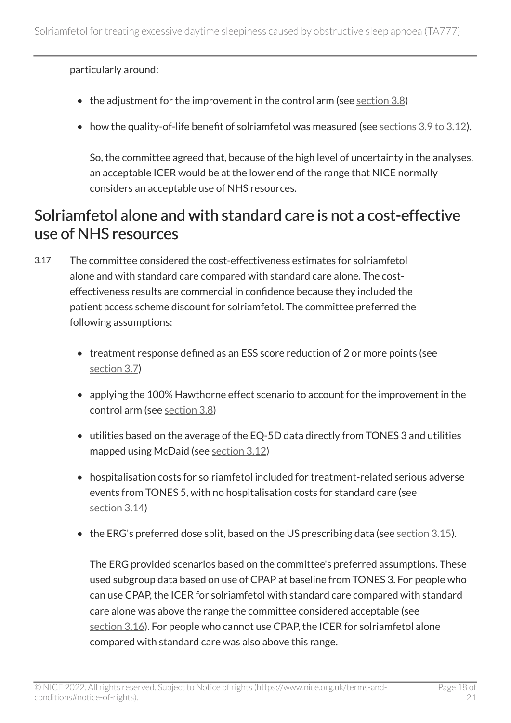particularly around:

- the adjustment for the improvement in the control arm (see [section](#page-9-0) 3.8)
- how the quality-of-life benefit of solriamfetol was measured (see [sections](#page-11-1) 3.9 to 3.12).

So, the committee agreed that, because of the high level of uncertainty in the analyses, an acceptable ICER would be at the lower end of the range that NICE normally considers an acceptable use of NHS resources.

#### Solriamfetol alone and with standard care is not a cost-effective use of NHS resources

- 3.17 The committee considered the cost-effectiveness estimates for solriamfetol alone and with standard care compared with standard care alone. The costeffectiveness results are commercial in confidence because they included the patient access scheme discount for solriamfetol. The committee preferred the following assumptions:
	- treatment response defined as an ESS score reduction of 2 or more points (see [section](#page-9-1) 3.7)
	- applying the 100% Hawthorne effect scenario to account for the improvement in the control arm (see [section](#page-9-0) 3.8)
	- utilities based on the average of the EQ-5D data directly from TONES 3 and utilities mapped using McDaid (see [section](#page-13-0) 3.12)
	- hospitalisation costs for solriamfetol included for treatment-related serious adverse events from TONES 5, with no hospitalisation costs for standard care (see [section](#page-15-0) 3.14)
	- the ERG's preferred dose split, based on the US prescribing data (see <u>section 3.15</u>).

The ERG provided scenarios based on the committee's preferred assumptions. These used subgroup data based on use of CPAP at baseline from TONES 3. For people who can use CPAP, the ICER for solriamfetol with standard care compared with standard care alone was above the range the committee considered acceptable (see [section](#page-16-2) 3.16). For people who cannot use CPAP, the ICER for solriamfetol alone compared with standard care was also above this range.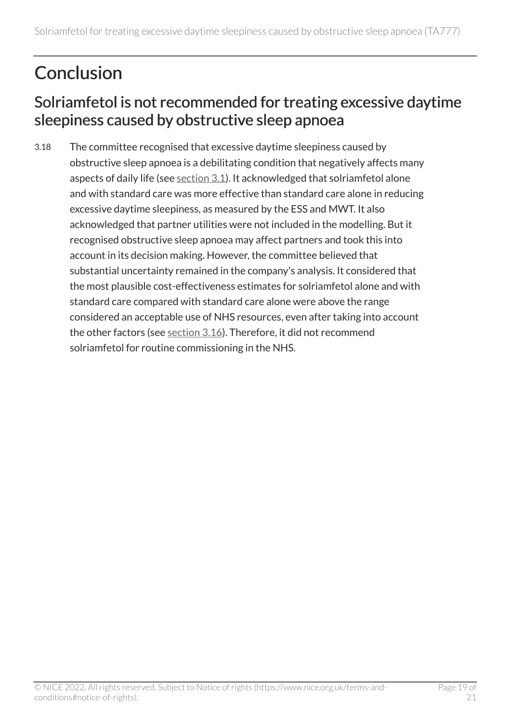### <span id="page-18-0"></span>**Conclusion**

#### Solriamfetol is not recommended for treating excessive daytime sleepiness caused by obstructive sleep apnoea

3.18 The committee recognised that excessive daytime sleepiness caused by obstructive sleep apnoea is a debilitating condition that negatively affects many aspects of daily life (see [section](#page-5-3) 3.1). It acknowledged that solriamfetol alone and with standard care was more effective than standard care alone in reducing excessive daytime sleepiness, as measured by the ESS and MWT. It also acknowledged that partner utilities were not included in the modelling. But it recognised obstructive sleep apnoea may affect partners and took this into account in its decision making. However, the committee believed that substantial uncertainty remained in the company's analysis. It considered that the most plausible cost-effectiveness estimates for solriamfetol alone and with standard care compared with standard care alone were above the range considered an acceptable use of NHS resources, even after taking into account the other factors (see [section](#page-16-2) 3.16). Therefore, it did not recommend solriamfetol for routine commissioning in the NHS.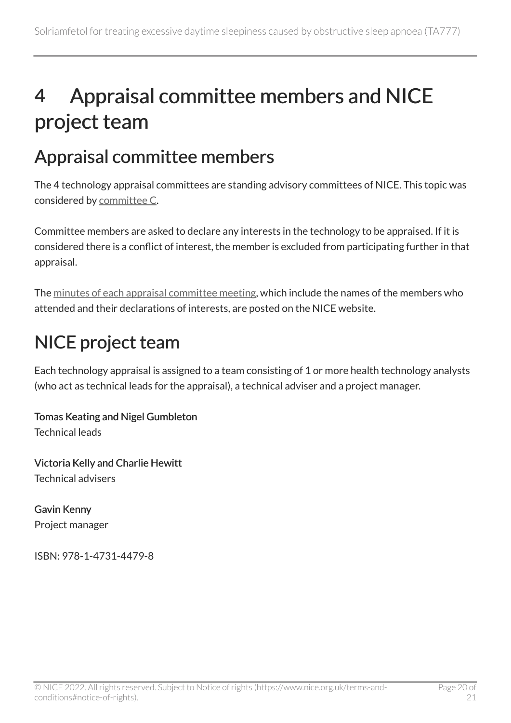## <span id="page-19-0"></span>4 Appraisal committee members and NICE project team

### <span id="page-19-1"></span>Appraisal committee members

The 4 technology appraisal committees are standing advisory committees of NICE. This topic was considered by [committee](https://www.nice.org.uk/Get-Involved/Meetings-in-public/Technology-appraisal-Committee/Committee-C-Members) C.

Committee members are asked to declare any interests in the technology to be appraised. If it is considered there is a conflict of interest, the member is excluded from participating further in that appraisal.

The [minutes of each appraisal committee meeting](https://www.nice.org.uk/get-involved/meetings-in-public/technology-appraisal-committee), which include the names of the members who attended and their declarations of interests, are posted on the NICE website.

### <span id="page-19-2"></span>NICE project team

Each technology appraisal is assigned to a team consisting of 1 or more health technology analysts (who act as technical leads for the appraisal), a technical adviser and a project manager.

Tomas Keating and Nigel Gumbleton Technical leads

Victoria Kelly and Charlie Hewitt Technical advisers

Gavin Kenny Project manager

ISBN: 978-1-4731-4479-8